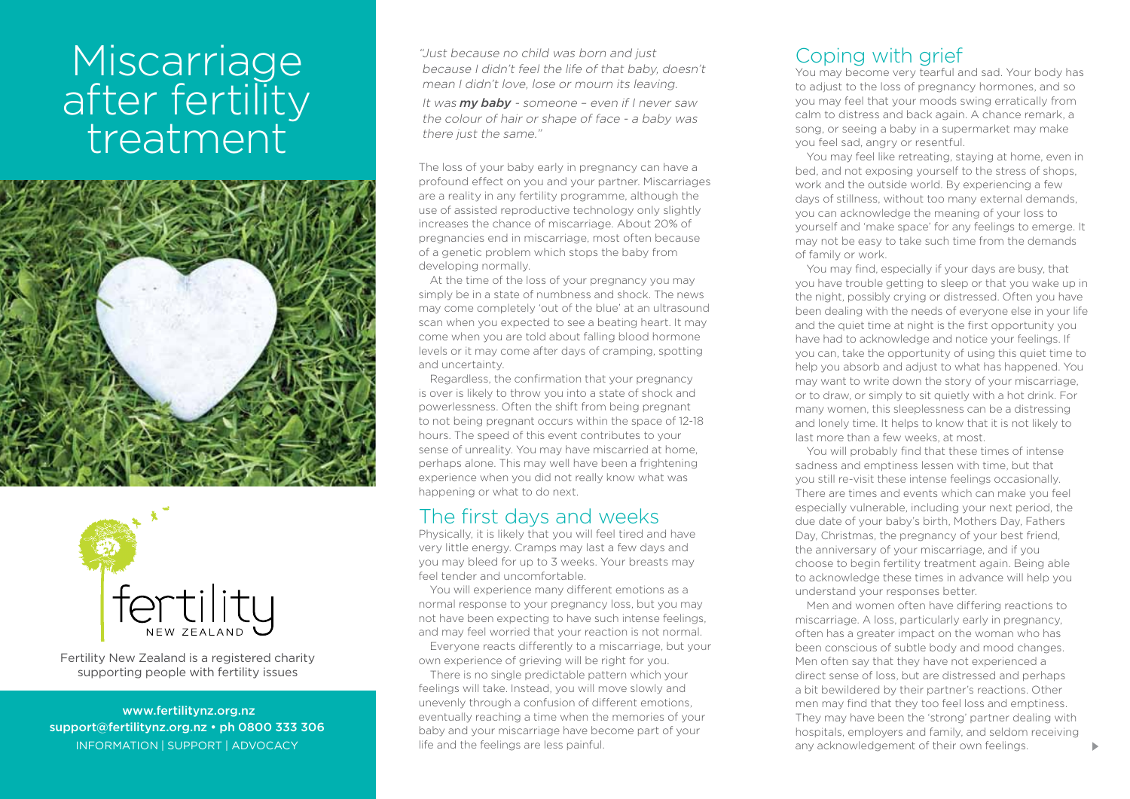# Miscarriage after fertility treatment





Fertility New Zealand is a registered charity supporting people with fertility issues

 www.fertilitynz.org.nz support@fertilitynz.org.nz • ph 0800 333 306 information | support | advocacy

"Just because no child was born and just because I didn't feel the life of that baby, doesn't mean I didn't love, lose or mourn its leaving.

It was *my baby* - someone – even if I never saw the colour of hair or shape of face - a baby was there just the same."

The loss of your baby early in pregnancy can have a profound effect on you and your partner. Miscarriages are a reality in any fertility programme, although the use of assisted reproductive technology only slightly increases the chance of miscarriage. About 20% of pregnancies end in miscarriage, most often because of a genetic problem which stops the baby from developing normally.

At the time of the loss of your pregnancy you may simply be in a state of numbness and shock. The news may come completely 'out of the blue' at an ultrasound scan when you expected to see a beating heart. It may come when you are told about falling blood hormone levels or it may come after days of cramping, spotting and uncertainty.

Regardless, the confirmation that your pregnancy is over is likely to throw you into a state of shock and powerlessness. Often the shift from being pregnant to not being pregnant occurs within the space of 12-18 hours. The speed of this event contributes to your sense of unreality. You may have miscarried at home, perhaps alone. This may well have been a frightening experience when you did not really know what was happening or what to do next.

#### The first days and weeks

Physically, it is likely that you will feel tired and have very little energy. Cramps may last a few days and you may bleed for up to 3 weeks. Your breasts may feel tender and uncomfortable.

You will experience many different emotions as a normal response to your pregnancy loss, but you may not have been expecting to have such intense feelings, and may feel worried that your reaction is not normal.

Everyone reacts differently to a miscarriage, but your own experience of grieving will be right for you.

There is no single predictable pattern which your feelings will take. Instead, you will move slowly and unevenly through a confusion of different emotions, eventually reaching a time when the memories of your baby and your miscarriage have become part of your life and the feelings are less painful.

### Coping with grief

You may become very tearful and sad. Your body has to adjust to the loss of pregnancy hormones, and so you may feel that your moods swing erratically from calm to distress and back again. A chance remark, a song, or seeing a baby in a supermarket may make you feel sad, angry or resentful.

You may feel like retreating, staying at home, even in bed, and not exposing yourself to the stress of shops, work and the outside world. By experiencing a few days of stillness, without too many external demands, you can acknowledge the meaning of your loss to yourself and 'make space' for any feelings to emerge. It may not be easy to take such time from the demands of family or work.

You may find, especially if your days are busy, that you have trouble getting to sleep or that you wake up in the night, possibly crying or distressed. Often you have been dealing with the needs of everyone else in your life and the quiet time at night is the first opportunity you have had to acknowledge and notice your feelings. If you can, take the opportunity of using this quiet time to help you absorb and adjust to what has happened. You may want to write down the story of your miscarriage, or to draw, or simply to sit quietly with a hot drink. For many women, this sleeplessness can be a distressing and lonely time. It helps to know that it is not likely to last more than a few weeks, at most.

You will probably find that these times of intense sadness and emptiness lessen with time, but that you still re-visit these intense feelings occasionally. There are times and events which can make you feel especially vulnerable, including your next period, the due date of your baby's birth, Mothers Day, Fathers Day, Christmas, the pregnancy of your best friend, the anniversary of your miscarriage, and if you choose to begin fertility treatment again. Being able to acknowledge these times in advance will help you understand your responses better.

Men and women often have differing reactions to miscarriage. A loss, particularly early in pregnancy, often has a greater impact on the woman who has been conscious of subtle body and mood changes. Men often say that they have not experienced a direct sense of loss, but are distressed and perhaps a bit bewildered by their partner's reactions. Other men may find that they too feel loss and emptiness. They may have been the 'strong' partner dealing with hospitals, employers and family, and seldom receiving any acknowledgement of their own feelings.